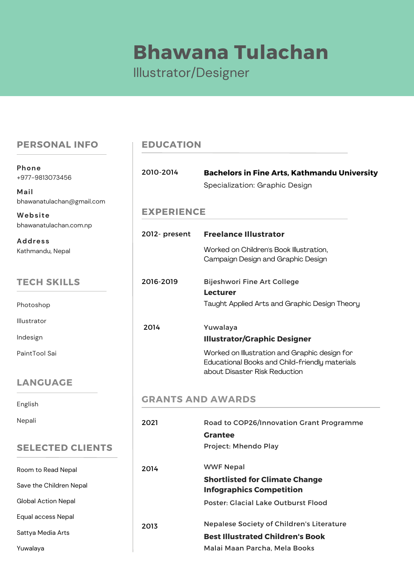# **Bhawana Tulachan**

# Illustrator/Designer

#### **PERSONAL INFO**

+977-9813073456 **Phone**

bhawanatulachan@gmail.com **Mail**

bhawanatulachan.com.np **Website**

Kathmandu, Nepal **Address**

# **TECH SKILLS**

Photoshop Illustrator Indesign PaintTool Sai

# **LANGU**

Yuwalaya

# **SELECT**

| Paint Lool Sal          |                          | <u>VVONKED ON IIIUSTRATION AND GRAPHIC DESIGN FOR</u><br>Educational Books and Child-friendly materials<br>about Disaster Risk Reduction |  |
|-------------------------|--------------------------|------------------------------------------------------------------------------------------------------------------------------------------|--|
| <b>LANGUAGE</b>         |                          |                                                                                                                                          |  |
| English                 | <b>GRANTS AND AWARDS</b> |                                                                                                                                          |  |
| Nepali                  | 2021                     | Road to COP26/Innovation Grant Programme                                                                                                 |  |
|                         |                          | <b>Grantee</b>                                                                                                                           |  |
| <b>SELECTED CLIENTS</b> |                          | Project: Mhendo Play                                                                                                                     |  |
| Room to Read Nepal      | 2014                     | <b>WWF Nepal</b>                                                                                                                         |  |
| Save the Children Nepal |                          | <b>Shortlisted for Climate Change</b><br><b>Infographics Competition</b>                                                                 |  |
| Global Action Nepal     |                          | Poster: Glacial Lake Outburst Flood                                                                                                      |  |
| Equal access Nepal      |                          |                                                                                                                                          |  |
| Sattya Media Arts       | 2013                     | <b>Nepalese Society of Children's Literature</b><br><b>Best Illustrated Children's Book</b>                                              |  |
| Yuwalaya                |                          |                                                                                                                                          |  |
|                         |                          | Malai Maan Parcha, Mela Books                                                                                                            |  |

# **EDUCATION**

| 2010-2014         | <b>Bachelors in Fine Arts, Kathmandu University</b><br>Specialization: Graphic Design                                            |
|-------------------|----------------------------------------------------------------------------------------------------------------------------------|
| <b>EXPERIENCE</b> |                                                                                                                                  |
| 2012- present     | <b>Freelance Illustrator</b>                                                                                                     |
|                   | Worked on Children's Book Illustration,<br>Campaign Design and Graphic Design                                                    |
| 2016-2019         | Bijeshwori Fine Art College<br>Lecturer                                                                                          |
|                   | Taught Applied Arts and Graphic Design Theory                                                                                    |
| 2014              | Yuwalaya                                                                                                                         |
|                   | <b>Illustrator/Graphic Designer</b>                                                                                              |
|                   | Worked on Illustration and Graphic design for<br>Educational Books and Child-friendly materials<br>about Disaster Risk Reduction |
|                   | <b>GRANTS AND AWARDS</b>                                                                                                         |
| 2021              | Road to COP26/Innovation Grant Programme                                                                                         |
|                   | <b>Grantee</b>                                                                                                                   |
|                   | Project: Mhendo Play                                                                                                             |
| 2014              | <b>WWF Nepal</b>                                                                                                                 |
|                   | <b>Shortlisted for Climate Change</b><br><b>Infographics Competition</b>                                                         |
|                   |                                                                                                                                  |